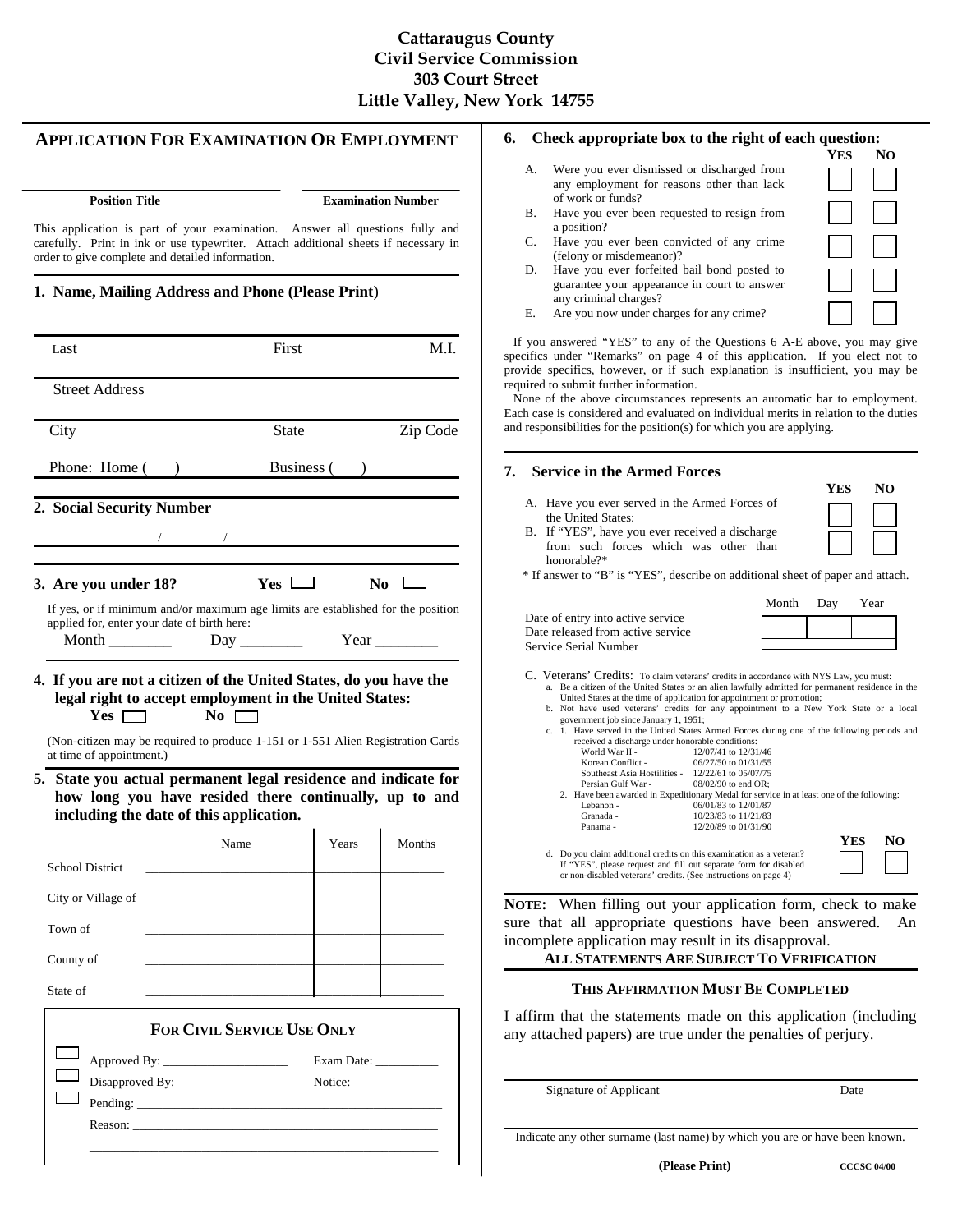# **Cattaraugus County Civil Service Commission 303 Court Street Little Valley, New York 14755**

## **APPLICATION FOR EXAMINATION OR EMPLOYMENT**

Reason:

**Examination Number** 

This application is part of your examination. Answer all questions fully and carefully. Print in ink or use typewriter. Attach additional sheets if necessary in order to give complete and detailed information.

## **1. Name, Mailing Address and Phone (Please Print**)

|                                                                                                                                 | First                             | M.L             |
|---------------------------------------------------------------------------------------------------------------------------------|-----------------------------------|-----------------|
| <b>Street Address</b>                                                                                                           |                                   |                 |
| City                                                                                                                            | <b>State</b>                      | Zip Code        |
| Phone: Home ()                                                                                                                  |                                   | Business ()     |
| 2. Social Security Number                                                                                                       |                                   |                 |
|                                                                                                                                 |                                   |                 |
| 3. Are you under 18?                                                                                                            | $Yes \Box$                        | $N_0$           |
| If yes, or if minimum and/or maximum age limits are established for the position<br>applied for, enter your date of birth here: |                                   | Year            |
| (Non-citizen may be required to produce 1-151 or 1-551 Alien Registration Cards                                                 |                                   |                 |
| at time of appointment.)<br>how long you have resided there continually, up to and<br>including the date of this application.   |                                   |                 |
|                                                                                                                                 | Name                              | Years<br>Months |
| <b>School District</b>                                                                                                          |                                   |                 |
| City or Village of                                                                                                              |                                   |                 |
| Town of                                                                                                                         |                                   |                 |
| County of                                                                                                                       |                                   |                 |
| State of                                                                                                                        |                                   |                 |
| 5. State you actual permanent legal residence and indicate for                                                                  | <b>FOR CIVIL SERVICE USE ONLY</b> |                 |
|                                                                                                                                 |                                   |                 |

\_\_\_\_\_\_\_\_\_\_\_\_\_\_\_\_\_\_\_\_\_\_\_\_\_\_\_\_\_\_\_\_\_\_\_\_\_\_\_\_\_\_\_\_\_\_\_\_\_\_\_\_\_\_\_\_

### **6. Check appropriate box to the right of each question:**

- A. Were you ever dismissed or discharged from any employment for reasons other than lack of work or funds?
- B. Have you ever been requested to resign from a position?
- C. Have you ever been convicted of any crime (felony or misdemeanor)?
- D. Have you ever forfeited bail bond posted to guarantee your appearance in court to answer any criminal charges?
- E. Are you now under charges for any crime?

 If you answered "YES" to any of the Questions 6 A-E above, you may give specifics under "Remarks" on page 4 of this application. If you elect not to provide specifics, however, or if such explanation is insufficient, you may be required to submit further information.

 None of the above circumstances represents an automatic bar to employment. Each case is considered and evaluated on individual merits in relation to the duties and responsibilities for the position(s) for which you are applying.

### **7. Service in the Armed Forces**

the United States:

**YES NO**

 **YES NO**

B. If "YES", have you ever received a discharge from such forces which was other than honorable?\*

A. Have you ever served in the Armed Forces of

\* If answer to "B" is "YES", describe on additional sheet of paper and attach.

|                                   | Month Day | Year |
|-----------------------------------|-----------|------|
| Date of entry into active service |           |      |
| Date released from active service |           |      |
| Service Serial Number             |           |      |
|                                   |           |      |
|                                   |           |      |

- C. Veterans' Credits: To claim veterans' credits in accordance with NYS Law, you must: a. Be a citizen of the United States or an alien lawfully admitted for permanent residence in the United States at the time of application for appointment or promotion;
	- b. Not have used veterans' credits for any appointment to a New York State or a local
	- government job since January 1, 1951; c. 1. Have served in the United States Armed Forces during one of the following periods and received a discharge under honorable conditions:

| World War II -               | 12/07/41 to 12/31/46                                                                      |            |    |
|------------------------------|-------------------------------------------------------------------------------------------|------------|----|
| Korean Conflict -            | 06/27/50 to 01/31/55                                                                      |            |    |
| Southeast Asia Hostilities - | 12/22/61 to 05/07/75                                                                      |            |    |
| Persian Gulf War -           | $08/02/90$ to end OR:                                                                     |            |    |
|                              | 2. Have been awarded in Expeditionary Medal for service in at least one of the following: |            |    |
| Lebanon -                    | 06/01/83 to 12/01/87                                                                      |            |    |
| Granada -                    | 10/23/83 to 11/21/83                                                                      |            |    |
| Panama -                     | 12/20/89 to 01/31/90                                                                      |            |    |
|                              |                                                                                           | <b>YES</b> | NO |
|                              | d. Do you claim additional credits on this examination as a veteran?                      |            |    |
|                              | If "YES", please request and fill out separate form for disabled                          |            |    |
|                              | or non-disabled veterans' credits. (See instructions on page 4)                           |            |    |

**NOTE:** When filling out your application form, check to make sure that all appropriate questions have been answered. An incomplete application may result in its disapproval.

## **ALL STATEMENTS ARE SUBJECT TO VERIFICATION**

### **THIS AFFIRMATION MUST BE COMPLETED**

I affirm that the statements made on this application (including any attached papers) are true under the penalties of perjury.

Signature of Applicant Date

Indicate any other surname (last name) by which you are or have been known.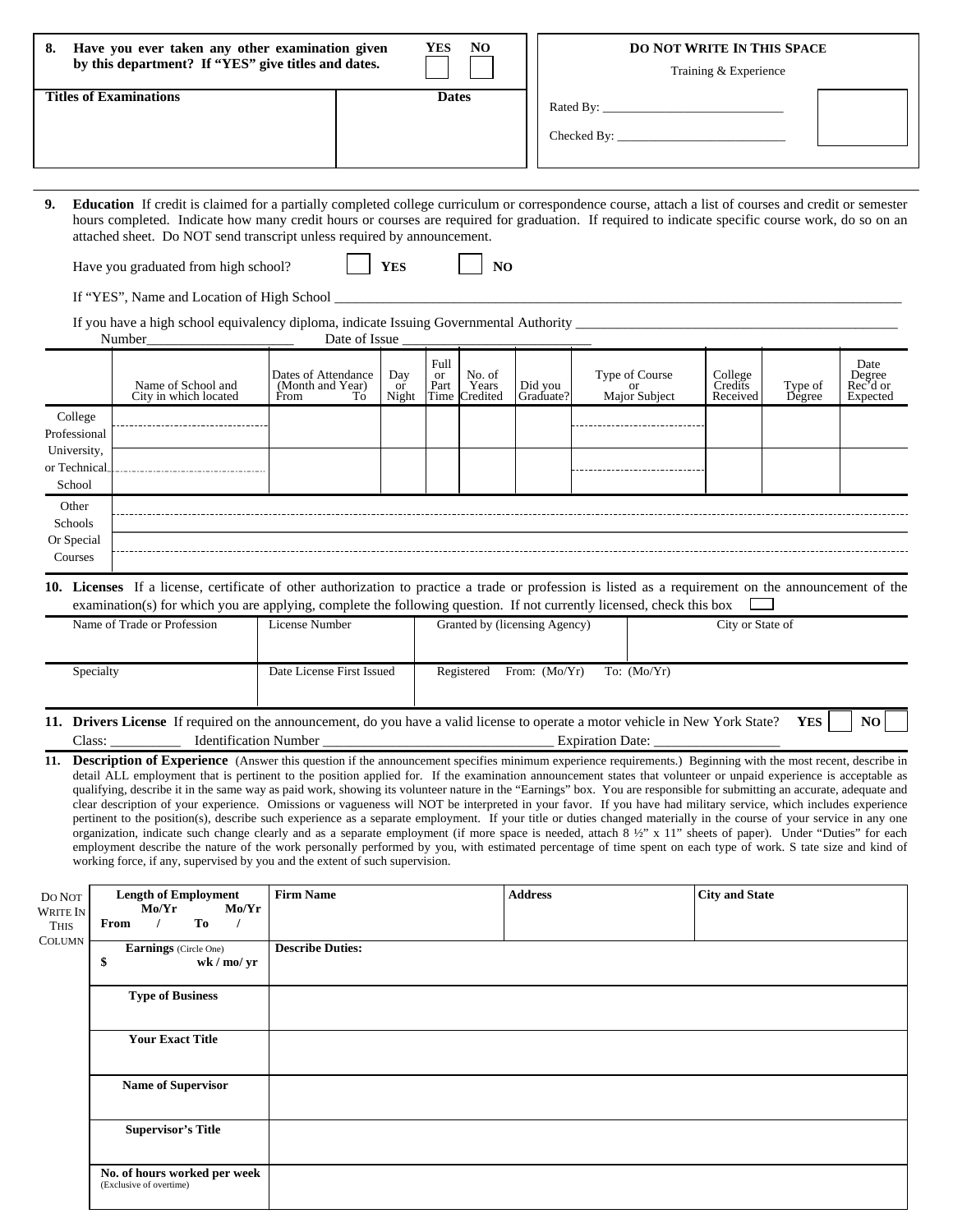| Have you ever taken any other examination given<br>8.<br>by this department? If "YES" give titles and dates. | <b>NO</b><br>YES. | <b>DO NOT WRITE IN THIS SPACE</b><br>Training & Experience |
|--------------------------------------------------------------------------------------------------------------|-------------------|------------------------------------------------------------|
| <b>Titles of Examinations</b>                                                                                | <b>Dates</b>      | Rated By:<br>Checked By:                                   |

**9. Education** If credit is claimed for a partially completed college curriculum or correspondence course, attach a list of courses and credit or semester hours completed. Indicate how many credit hours or courses are required for graduation. If required to indicate specific course work, do so on an attached sheet. Do NOT send transcript unless required by announcement.

| Have you graduated from high school? |  | <b>YES</b> |  | N <sub>O</sub> |
|--------------------------------------|--|------------|--|----------------|
|--------------------------------------|--|------------|--|----------------|

If "YES", Name and Location of High School \_

If you have a high school equivalency diploma, indicate Issuing Governmental Authority \_\_\_\_\_\_\_\_\_\_\_\_\_\_\_\_\_\_\_\_\_\_\_\_\_\_\_\_\_\_\_\_\_\_\_\_\_\_\_\_\_\_\_\_\_\_

|              | Number                                      | Date of Issue                                         |                    |                           |                                  |                      |                                       |                                |                   |                                        |
|--------------|---------------------------------------------|-------------------------------------------------------|--------------------|---------------------------|----------------------------------|----------------------|---------------------------------------|--------------------------------|-------------------|----------------------------------------|
|              | Name of School and<br>City in which located | Dates of Attendance<br>(Month and Year)<br>To<br>From | Day<br>or<br>Night | Full<br><b>or</b><br>Part | No. of<br>Years<br>Time Credited | Did you<br>Graduate? | Type of Course<br>or<br>Major Subject | College<br>Credits<br>Received | Type of<br>Degree | Date<br>Degree<br>Rec'd or<br>Expected |
| College      |                                             |                                                       |                    |                           |                                  |                      |                                       |                                |                   |                                        |
| Professional |                                             |                                                       |                    |                           |                                  |                      |                                       |                                |                   |                                        |
| University,  |                                             |                                                       |                    |                           |                                  |                      |                                       |                                |                   |                                        |
| or Technical |                                             |                                                       |                    |                           |                                  |                      |                                       |                                |                   |                                        |
| School       |                                             |                                                       |                    |                           |                                  |                      |                                       |                                |                   |                                        |
| Other        |                                             |                                                       |                    |                           |                                  |                      |                                       |                                |                   |                                        |
| Schools      |                                             |                                                       |                    |                           |                                  |                      |                                       |                                |                   |                                        |
| Or Special   |                                             |                                                       |                    |                           |                                  |                      |                                       |                                |                   |                                        |
| Courses      |                                             |                                                       |                    |                           |                                  |                      |                                       |                                |                   |                                        |
|              |                                             |                                                       |                    |                           |                                  |                      |                                       |                                |                   |                                        |

**10. Licenses** If a license, certificate of other authorization to practice a trade or profession is listed as a requirement on the announcement of the examination(s) for which you are applying, complete the following question. If not currently licensed, check this box  $\square$ 

| Name of Trade or Profession                                                                                                  | License Number            | Granted by (licensing Agency) | City or State of      |  |  |
|------------------------------------------------------------------------------------------------------------------------------|---------------------------|-------------------------------|-----------------------|--|--|
|                                                                                                                              |                           |                               |                       |  |  |
| Specialty                                                                                                                    | Date License First Issued | From: $(Mo/Yr)$<br>Registered | To: $(Mo/Yr)$         |  |  |
| 11 Drivans License If required on the ennouncement do you have a valid license to energte a motor vahigle in New York Ctota? |                           |                               | N <sub>O</sub><br>VEC |  |  |

**11. Drivers License** If required on the announcement, do you have a valid license to operate a motor vehicle in New York State? **YES**  $\parallel$  NO Class: \_\_\_\_\_\_\_\_\_\_ Identification Number \_\_\_\_\_\_\_\_\_\_\_\_\_\_\_\_\_\_\_\_\_\_\_\_\_\_\_\_\_\_\_\_\_ Expiration Date: \_\_\_\_\_\_\_\_\_\_\_\_\_\_\_\_\_\_

11. Description of Experience (Answer this question if the announcement specifies minimum experience requirements.) Beginning with the most recent, describe in detail ALL employment that is pertinent to the position applied for. If the examination announcement states that volunteer or unpaid experience is acceptable as qualifying, describe it in the same way as paid work, showing its volunteer nature in the "Earnings" box. You are responsible for submitting an accurate, adequate and clear description of your experience. Omissions or vagueness will NOT be interpreted in your favor. If you have had military service, which includes experience pertinent to the position(s), describe such experience as a separate employment. If your title or duties changed materially in the course of your service in any one organization, indicate such change clearly and as a separate employment (if more space is needed, attach 8  $\frac{1}{2}$ " x 11" sheets of paper). Under "Duties" for each employment describe the nature of the work personally performed by you, with estimated percentage of time spent on each type of work. S tate size and kind of working force, if any, supervised by you and the extent of such supervision.

| DO NOT<br><b>WRITE IN</b><br><b>THIS</b><br>COLUMN | <b>Length of Employment</b><br>Mo/Yr<br>Mo/Yr<br>To<br>From | <b>Firm Name</b>        | <b>Address</b> | <b>City and State</b> |
|----------------------------------------------------|-------------------------------------------------------------|-------------------------|----------------|-----------------------|
|                                                    | Earnings (Circle One)<br>wk / mo/ yr<br>\$                  | <b>Describe Duties:</b> |                |                       |
|                                                    | <b>Type of Business</b>                                     |                         |                |                       |
|                                                    | <b>Your Exact Title</b>                                     |                         |                |                       |
|                                                    | <b>Name of Supervisor</b>                                   |                         |                |                       |
|                                                    | <b>Supervisor's Title</b>                                   |                         |                |                       |
|                                                    | No. of hours worked per week<br>(Exclusive of overtime)     |                         |                |                       |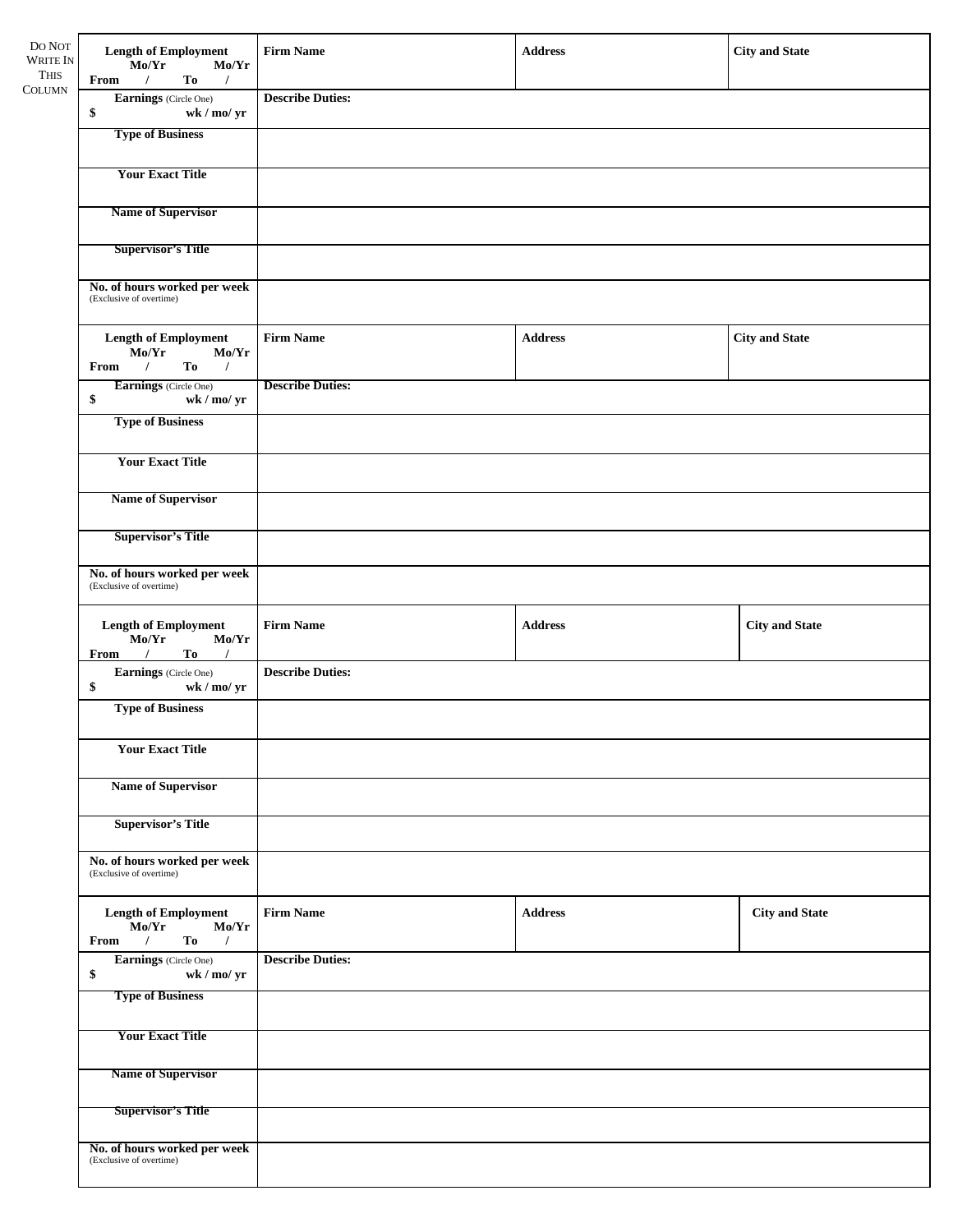| DO NOT<br><b>WRITE IN</b><br><b>THIS</b> | <b>Length of Employment</b><br>Mo/Yr<br>Mo/Yr<br>To<br>$\overline{1}$<br>$\sqrt{ }$<br>From | <b>Firm Name</b><br><b>City and State</b><br><b>Address</b> |                |                       |  |  |  |  |
|------------------------------------------|---------------------------------------------------------------------------------------------|-------------------------------------------------------------|----------------|-----------------------|--|--|--|--|
| <b>COLUMN</b>                            | Earnings (Circle One)<br>\$<br>wk / mo/ yr                                                  | <b>Describe Duties:</b>                                     |                |                       |  |  |  |  |
|                                          | <b>Type of Business</b>                                                                     |                                                             |                |                       |  |  |  |  |
|                                          | <b>Your Exact Title</b>                                                                     |                                                             |                |                       |  |  |  |  |
|                                          | <b>Name of Supervisor</b>                                                                   |                                                             |                |                       |  |  |  |  |
|                                          | <b>Supervisor's Title</b>                                                                   |                                                             |                |                       |  |  |  |  |
|                                          | No. of hours worked per week<br>(Exclusive of overtime)                                     |                                                             |                |                       |  |  |  |  |
|                                          | <b>Length of Employment</b><br>Mo/Yr<br>Mo/Yr<br>$\sqrt{ }$<br>$To$ /<br>From               | <b>Firm Name</b>                                            | <b>Address</b> | <b>City and State</b> |  |  |  |  |
|                                          | Earnings (Circle One)<br>\$<br>wk / mo/ yr                                                  | <b>Describe Duties:</b>                                     |                |                       |  |  |  |  |
|                                          | <b>Type of Business</b>                                                                     |                                                             |                |                       |  |  |  |  |
|                                          | <b>Your Exact Title</b>                                                                     |                                                             |                |                       |  |  |  |  |
|                                          | <b>Name of Supervisor</b>                                                                   |                                                             |                |                       |  |  |  |  |
|                                          | <b>Supervisor's Title</b>                                                                   |                                                             |                |                       |  |  |  |  |
|                                          | No. of hours worked per week<br>(Exclusive of overtime)                                     |                                                             |                |                       |  |  |  |  |
|                                          | <b>Length of Employment</b><br>Mo/Yr<br>Mo/Yr<br>From /<br>$To$ /                           | <b>Firm Name</b>                                            | <b>Address</b> | <b>City and State</b> |  |  |  |  |
|                                          | Earnings (Circle One)<br>\$<br>wk / mo / yr                                                 | <b>Describe Duties:</b>                                     |                |                       |  |  |  |  |
|                                          | <b>Type of Business</b>                                                                     |                                                             |                |                       |  |  |  |  |
|                                          | <b>Your Exact Title</b>                                                                     |                                                             |                |                       |  |  |  |  |
|                                          | <b>Name of Supervisor</b>                                                                   |                                                             |                |                       |  |  |  |  |
|                                          | <b>Supervisor's Title</b>                                                                   |                                                             |                |                       |  |  |  |  |
|                                          | No. of hours worked per week<br>(Exclusive of overtime)                                     |                                                             |                |                       |  |  |  |  |
|                                          | <b>Length of Employment</b><br>Mo/Yr<br>Mo/Yr<br>To<br>From<br>$\prime$<br>$\prime$         | <b>Firm Name</b>                                            | <b>Address</b> | <b>City and State</b> |  |  |  |  |
|                                          | Earnings (Circle One)<br>\$<br>wk / mo/ yr<br><b>Type of Business</b>                       | <b>Describe Duties:</b>                                     |                |                       |  |  |  |  |
|                                          |                                                                                             |                                                             |                |                       |  |  |  |  |
|                                          | <b>Your Exact Title</b>                                                                     |                                                             |                |                       |  |  |  |  |
|                                          | <b>Name of Supervisor</b>                                                                   |                                                             |                |                       |  |  |  |  |
|                                          | <b>Supervisor's Title</b>                                                                   |                                                             |                |                       |  |  |  |  |
|                                          | No. of hours worked per week<br>(Exclusive of overtime)                                     |                                                             |                |                       |  |  |  |  |